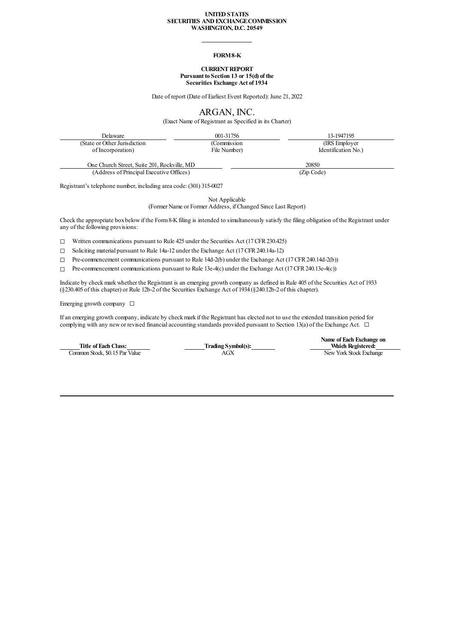#### **UNITEDSTATES SECURITIES ANDEXCHANGECOMMISSION WASHINGTON, D.C. 20549**

### **FORM8-K**

### **CURRENT REPORT Pursuant to Section 13 or 15(d) of the Securities Exchange Act of 1934**

Date of report (Date of Earliest Event Reported): June 21, 2022

ARGAN, INC.

(Exact Name of Registrant as Specified in its Charter)

| Delaware                                    | 001-31756    | 13-1947195          |
|---------------------------------------------|--------------|---------------------|
| (State or Other Jurisdiction)               | (Commission  | (IRS Employer)      |
| of Incorporation)                           | File Number) | Identification No.) |
| One Church Street, Suite 201, Rockville, MD |              | 20850               |

(Address of Principal Executive Offices) (Zip Code)

Registrant's telephone number, including area code: (301) 315-0027

Not Applicable

(Former Name or Former Address, if Changed Since Last Report)

Check the appropriate boxbelowif the Form8-Kfiling is intended to simultaneously satisfy the filing obligation of the Registrant under any of the following provisions:

☐ Written communications pursuant to Rule 425 under the Securities Act (17 CFR230.425)

☐ Soliciting material pursuant to Rule 14a-12 under the Exchange Act (17 CFR240.14a-12)

☐ Pre-commencement communications pursuant to Rule 14d-2(b) under the Exchange Act (17 CFR240.14d-2(b))

☐ Pre-commencement communications pursuant to Rule 13e-4(c) under the Exchange Act (17 CFR240.13e-4(c))

Indicate by check mark whether the Registrant is an emerging growth company as defined in Rule 405 of the Securities Act of 1933 (§230.405 of this chapter) or Rule 12b-2 of the Securities Exchange Act of 1934 (§240.12b-2 of this chapter).

Emerging growth company  $\Box$ 

Ifan emerging growth company, indicate by checkmark if the Registrant has elected not to use the extended transition period for complying with any new or revised financial accounting standards provided pursuant to Section 13(a) of the Exchange Act.  $\Box$ 

**Title of Each Class:**<br> **Trading Symbol(s):**<br> **Trading Symbol(s):**<br> **AGX** Common Stock, \$0.15 Par Value

**Name of Each Exchange on Which Registered:**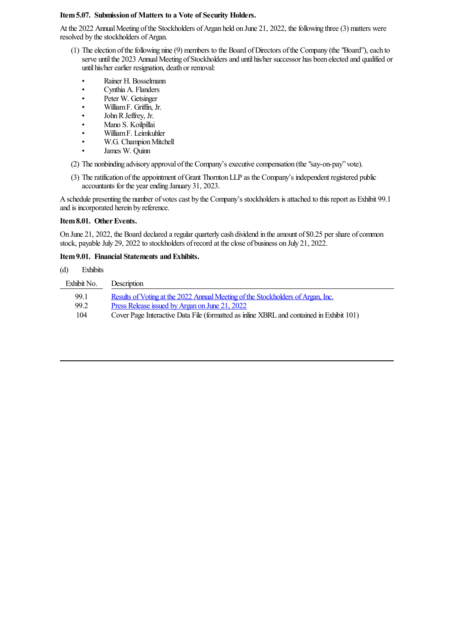## **Item5.07. Submission of Matters to a Vote of Security Holders.**

At the 2022 Annual Meeting of the Stockholders of Argan held on June 21, 2022, the following three (3) matters were resolved by the stockholders of Argan.

- (1) The election of the following nine (9) members to the Board of Directors of the Company (the "Board"), each to serve until the 2023 Annual Meeting of Stockholders and until his/her successor has been elected and qualified or until his/her earlier resignation, death or removal:
	- Rainer H. Bosselmann
	- Cynthia A. Flanders
	- Peter W. Getsinger
	- WilliamF. Griffin, Jr.
	- John R Jeffrey, Jr.
	- Mano S. Koilpillai
	- WilliamF. Leimkuhler
	- W.G. Champion Mitchell
	- James W. Quinn

(2) The nonbinding advisory approval ofthe Company'sexecutivecompensation (the"say-on-pay" vote).

(3) Theratification oftheappointment ofGrant ThorntonLLP as the Company's independent registered public accountants for the yearending January 31, 2023.

A schedule presenting the number of votes cast by the Company's stockholders is attached to this report as Exhibit 99.1 and is incorporated herein by reference.

## Item 8.01. Other Events.

On June 21, 2022, the Board declared a regular quarterly cash dividend in the amount of \$0.25 per share of common stock, payable July 29, 2022 to stockholders of record at the close of business on July 21, 2022.

# **Item 9.01. Financial Statements and Exhibits.**

## (d) Exhibits

| Exhibit No. | Description                                                                              |
|-------------|------------------------------------------------------------------------------------------|
| 99.1        | Results of Voting at the 2022 Annual Meeting of the Stockholders of Argan, Inc.          |
| 99.2        | Press Release issued by Argan on June 21, 2022                                           |
| 104         | Cover Page Interactive Data File (formatted as inline XBRL and contained in Exhibit 101) |
|             |                                                                                          |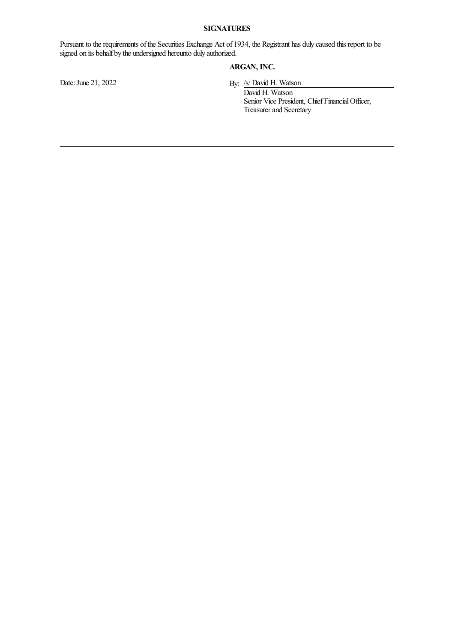# **SIGNATURES**

Pursuant to the requirements of the Securities Exchange Act of 1934, the Registrant has duly caused this report to be signed on its behalf by the undersigned hereunto duly authorized.

# **ARGAN, INC.**

<span id="page-2-0"></span>

Date: June 21, 2022 By: /s/ David H. Watson

David H. Watson Senior Vice President, Chief Financial Officer, Treasurer and Secretary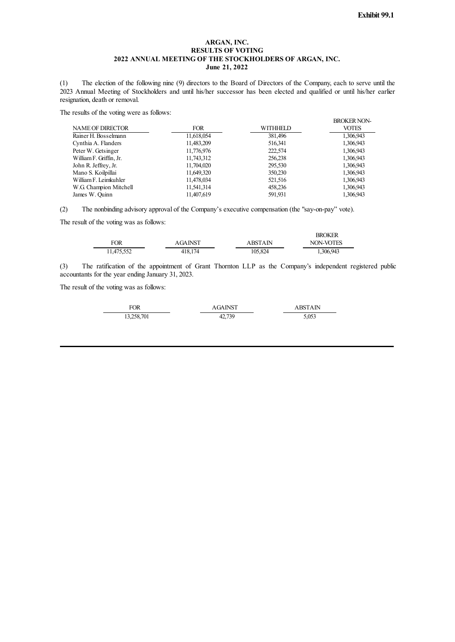## **ARGAN, INC. RESULTS OF VOTING 2022 ANNUAL MEETING OF THE STOCKHOLDERS OF ARGAN, INC. June 21, 2022**

(1) The election of the following nine (9) directors to the Board of Directors of the Company, each to serve until the 2023 Annual Meeting of Stockholders and until his/her successor has been elected and qualified or until his/her earlier resignation, death or removal.

The results of the voting were as follows:

| <b>NAME OF DIRECTOR</b> | <b>FOR</b> | WITHHELD | <b>BROKER NON-</b><br><b>VOTES</b> |
|-------------------------|------------|----------|------------------------------------|
| Rainer H. Bosselmann    | 11,618,054 | 381,496  | 1,306,943                          |
| Cynthia A. Flanders     | 11,483,209 | 516,341  | 1,306,943                          |
| Peter W. Getsinger      | 11,776,976 | 222,574  | 1,306,943                          |
| William F. Griffin, Jr. | 11,743,312 | 256,238  | 1,306,943                          |
| John R. Jeffrey, Jr.    | 11,704,020 | 295,530  | 1,306,943                          |
| Mano S. Koilpillai      | 11,649,320 | 350,230  | 1,306,943                          |
| William F. Leimkuhler   | 11,478,034 | 521,516  | 1,306,943                          |
| W.G. Champion Mitchell  | 11,541,314 | 458,236  | 1,306,943                          |
| James W. Quinn          | 11.407.619 | 591,931  | 1,306,943                          |

(2) The nonbinding advisory approval of the Company's executive compensation (the "say-on-pay" vote).

The result of the voting was as follows:

|            |                |         | <b>BROKER</b>    |
|------------|----------------|---------|------------------|
| <b>FOR</b> | <b>AGAINST</b> | ABSTAIN | <b>NON-VOTES</b> |
| 11.475.552 | 418.174        | 105.824 | 1,306,943        |

(3) The ratification of the appointment of Grant Thornton LLP as the Company's independent registered public accountants for the year ending January 31, 2023.

The result of the voting was as follows:

<span id="page-3-0"></span>

| FOR        | AGAINST | A BST A IN |
|------------|---------|------------|
| 13,258,701 | 42,739  | 5,053      |